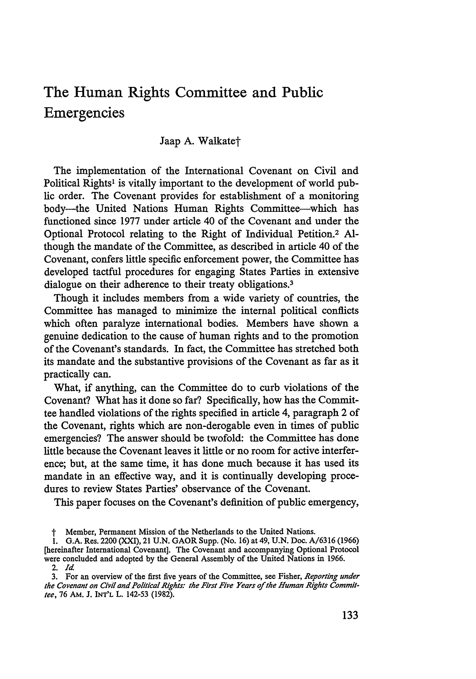# The Human Rights Committee and Public **Emergencies**

# Jaap A. Walkatet

The implementation of the International Covenant on Civil and Political Rights' is vitally important to the development of world public order. The Covenant provides for establishment of a monitoring body—the United Nations Human Rights Committee—which has functioned since 1977 under article 40 of the Covenant and under the Optional Protocol relating to the Right of Individual Petition.2 Although the mandate of the Committee, as described in article 40 of the Covenant, confers little specific enforcement power, the Committee has developed tactful procedures for engaging States Parties in extensive dialogue on their adherence to their treaty obligations.<sup>3</sup>

Though it includes members from a wide variety of countries, the Committee has managed to minimize the internal political conflicts which often paralyze international bodies. Members have shown a genuine dedication to the cause of human rights and to the promotion of the Covenant's standards. In fact, the Committee has stretched both its mandate and the substantive provisions of the Covenant as far as it practically can.

What, if anything, can the Committee do to curb violations of the Covenant? What has it done so far? Specifically, how has the Committee handled violations of the rights specified in article 4, paragraph 2 of the Covenant, rights which are non-derogable even in times of public emergencies? The answer should be twofold: the Committee has done little because the Covenant leaves it little or no room for active interference; but, at the same time, it has done much because it has used its mandate in an effective way, and it is continually developing procedures to review States Parties' observance of the Covenant.

This paper focuses on the Covenant's definition of public emergency,

t Member, Permanent Mission of the Netherlands to the United Nations.

<sup>1.</sup> G.A. Res. 2200 (XXI), 21 U.N. GAOR Supp. (No. 16) at 49, U.N. Doc. A/6316 (1966) [hereinafter International Covenant]. The Covenant and accompanying Optional Protocol were concluded and adopted by the General Assembly of the United Nations in 1966. *2. Id*

<sup>3.</sup> For an overview of the first five years of the Committee, see Fisher, *Reporting under the Covenant on Civil and Political Rights: the First Five Years of the Human* Rights Committee, 76 AM. J. **INT'L** L. 142-53 (1982).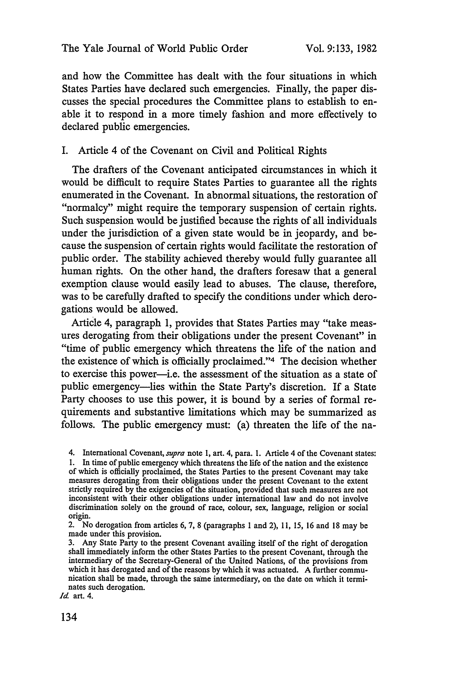and how the Committee has dealt with the four situations in which States Parties have declared such emergencies. Finally, the paper discusses the special procedures the Committee plans to establish to enable it to respond in a more timely fashion and more effectively to declared public emergencies.

# I. Article 4 of the Covenant on Civil and Political Rights

The drafters of the Covenant anticipated circumstances in which it would be difficult to require States Parties to guarantee all the rights enumerated in the Covenant. In abnormal situations, the restoration of "normalcy" might require the temporary suspension of certain rights. Such suspension would be justified because the rights of all individuals under the jurisdiction of a given state would be in jeopardy, and because the suspension of certain rights would facilitate the restoration of public order. The stability achieved thereby would fully guarantee all human rights. On the other hand, the drafters foresaw that a general exemption clause would easily lead to abuses. The clause, therefore, was to be carefully drafted to specify the conditions under which derogations would be allowed.

Article 4, paragraph 1, provides that States Parties may "take measures derogating from their obligations under the present Covenant" in "time of public emergency which threatens the life of the nation and the existence of which is officially proclaimed."<sup>4</sup> The decision whether to exercise this power-i.e. the assessment of the situation as a state of public emergency-lies within the State Party's discretion. If a State Party chooses to use this power, it is bound by a series of formal requirements and substantive limitations which may be summarized as follows. The public emergency must: (a) threaten the life of the na-

I. In time of public emergency which threatens the life of the nation and the existence of which is officially proclaimed, the States Parties to the present Covenant may take measures derogating from their obligations under the present Covenant to the extent strictly required by the exigencies of the situation, provided that such measures are not inconsistent with their other obligations under international law and do not involve discrimination solely on the ground of race, colour, sex, language, religion or social origin.

2. No derogation from articles **6,** 7, **8** (paragraphs **I** and 2), **11, 15, 16** and **18** may be made under this provision.

**3.** Any State Party to the present Covenant availing itself of the right of derogation shall immediately inform the other States Parties to the present Covenant, through the intermediary of the Secretary-General of the United Nations, of the provisions from which it has derogated and of the reasons by which it was actuated. A further communication shall be made, through the same intermediary, on the date on which it terminates such derogation.

*Id* art. 4.

<sup>4.</sup> International Covenant, *supra* note **1,** art. 4, para. **1.** Article 4 of the Covenant states: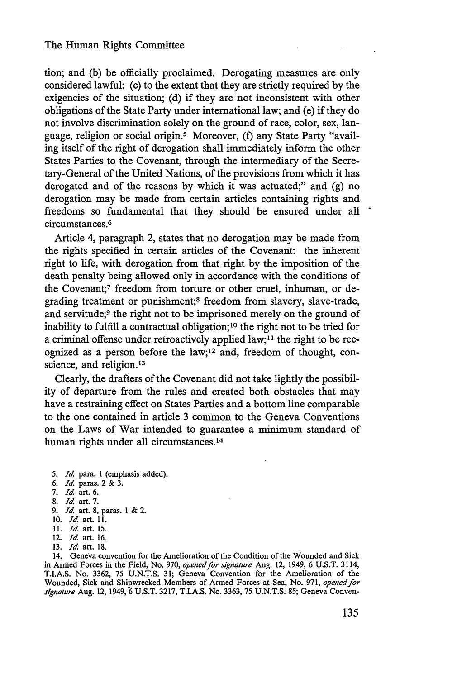tion; and (b) be officially proclaimed. Derogating measures are only considered lawful: (c) to the extent that they are strictly required by the exigencies of the situation; (d) if they are not inconsistent with other obligations of the State Party under international law; and (e) if they do not involve discrimination solely on the ground of race, color, sex, language, religion or social origin.5 Moreover, (f) any State Party "availing itself of the right of derogation shall immediately inform the other States Parties to the Covenant, through the intermediary of the Secretary-General of the United Nations, of the provisions from which it has derogated and of the reasons by which it was actuated;" and (g) no derogation may be made from certain articles containing rights and freedoms so fundamental that they should be ensured under all circumstances. <sup>6</sup>

Article 4, paragraph 2, states that no derogation may be made from the rights specified in certain articles of the Covenant: the inherent right to life, with derogation from that right by the imposition of the death penalty being allowed only in accordance with the conditions of the Covenant;7 freedom from torture or other cruel, inhuman, or degrading treatment or punishment;8 freedom from slavery, slave-trade, and servitude;<sup>9</sup> the right not to be imprisoned merely on the ground of inability to fulfill a contractual obligation;<sup>10</sup> the right not to be tried for a criminal offense under retroactively applied law;<sup>11</sup> the right to be recognized as a person before the law;<sup>12</sup> and, freedom of thought, conscience, and religion.<sup>13</sup>

Clearly, the drafters of the Covenant did not take lightly the possibility of departure from the rules and created both obstacles that may have a restraining effect on States Parties and a bottom line comparable to the one contained in article 3 common to the Geneva Conventions on the Laws of War intended to guarantee a minimum standard of human rights under all circumstances.<sup>14</sup>

- *5. Id* para. 1 (emphasis added).
- 6. *Id* paras. 2 & 3.
- 7. *Id* art. 6.
- 8. *Id* art. 7.
- 9. *Id* art. 8, paras. 1 & 2.
- 10. *Id* art. 11.
- 11. *Id* art. **15.**
- 12. *Id* art. 16.
- 13. *Id* art. 18.

14. Geneva convention for the Amelioration of the Condition of the Wounded and Sick in Armed Forces in the Field, No. 970, *opened for signature* Aug. 12, 1949, 6 U.S.T. 3114, T.I.A.S. No. 3362, 75 U.N.T.S. 31; Geneva Convention for the Amelioration of the Wounded, Sick and Shipwrecked Members of Armed Forces at Sea, No. 971, *opened for signature* Aug. 12, 1949, 6 U.S.T. 3217, T.I.A.S. No. 3363, 75 U.N.T.S. 85; Geneva Conven-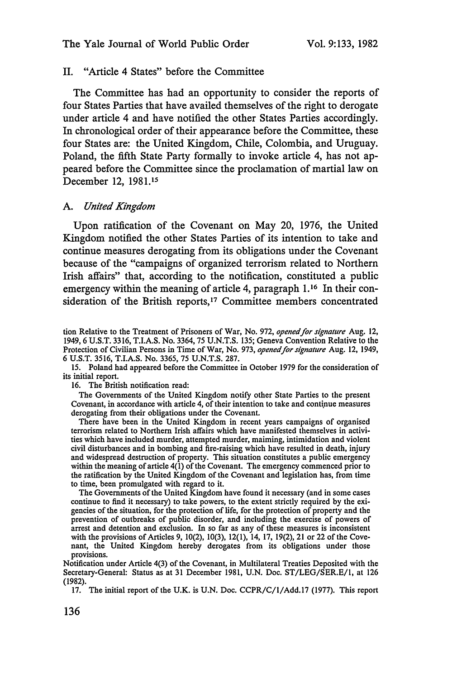# II. "Article 4 States" before the Committee

The Committee has had an opportunity to consider the reports of four States Parties that have availed themselves of the right to derogate under article 4 and have notified the other States Parties accordingly. In chronological order of their appearance before the Committee, these four States are: the United Kingdom, Chile, Colombia, and Uruguay. Poland, the fifth State Party formally to invoke article 4, has not appeared before the Committee since the proclamation of martial law on December 12, 1981.15

#### *A. United Kingdom*

Upon ratification of the Covenant on May 20, 1976, the United Kingdom notified the other States Parties of its intention to take and continue measures derogating from its obligations under the Covenant because of the "campaigns of organized terrorism related to Northern Irish affairs" that, according to the notification, constituted a public emergency within the meaning of article 4, paragraph **1.16** In their consideration of the British reports,<sup>17</sup> Committee members concentrated

15. Poland had appeared before the Committee in October 1979 for the consideration of its initial report.

16. The British notification read:

The Governments of the United Kingdom notify other State Parties to the present Covenant, in accordance with article 4, of their intention to take and continue measures derogating from their obligations under the Covenant.

There have been in the United Kingdom in recent years campaigns of organised terrorism related to Northern Irish affairs which have manifested themselves in activities which have included murder, attempted murder, maiming, intimidation and violent civil disturbances and in bombing and fire-raising which have resulted in death, injury and widespread destruction of property. This situation constitutes a public emergency within the meaning of article 4(1) of the Covenant. The emergency commenced prior to the ratification by the United Kingdom of the Covenant and legislation has, from time to time, been promulgated with regard to it.

The Governments of the United Kingdom have found it necessary (and in some cases continue to find it necessary) to take powers, to the extent strictly required by the exigencies of the situation, for the protection of life, for the protection of property and the prevention of outbreaks of public disorder, and including the exercise of powers of arrest and detention and exclusion. In so far as any of these measures is inconsistent with the provisions of Articles 9, 10(2), 10(3), 12(1), 14, 17, 19(2), 21 or 22 of the Covenant, the United Kingdom hereby derogates from its obligations under those provisions.

Notification under Article 4(3) of the Covenant, in Multilateral Treaties Deposited with the Secretary-General: Status as at 31 December 1981, U.N. Doc. ST/LEG/SER.E/I, at 126 (1982).

17. The initial report of the U.K. is U.N. Doe. CCPR/C/l/Add.17 (1977). This report

tion Relative to the Treatment of Prisoners of War, No. 972, opened for signature Aug. 12, 1949, 6 U.S.T. 3316, T.I.A.S. No. 3364,75 U.N.T.S. 135; Geneva Convention Relative to the Protection of Civilian Persons in Time of War, No. 973, *openedfor signature* Aug. 12, 1949, 6 U.S.T. 3516, T.I.A.S. No. 3365, 75 U.N.T.S. 287.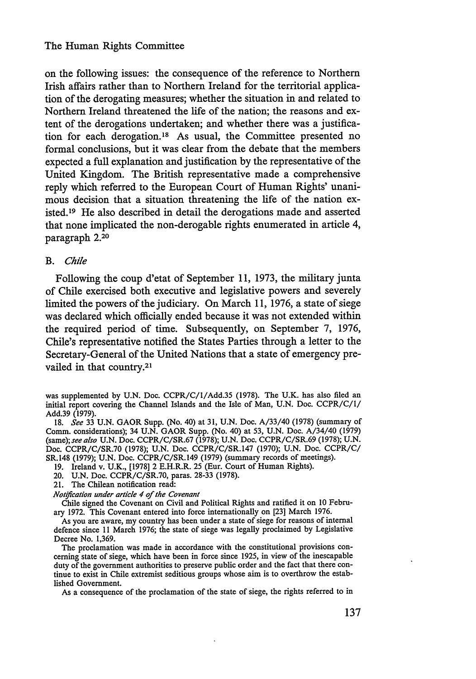on the following issues: the consequence of the reference to Northern Irish affairs rather than to Northern Ireland for the territorial application of the derogating measures; whether the situation in and related to Northern Ireland threatened the life of the nation; the reasons and extent of the derogations undertaken; and whether there was a justification for each derogation.<sup>18</sup> As usual, the Committee presented no formal conclusions, but it was clear from the debate that the members expected a full explanation and justification **by** the representative of the United Kingdom. The British representative made a comprehensive reply which referred to the European Court of Human Rights' unanimous decision that a situation threatening the life of the nation existed.<sup>19</sup> He also described in detail the derogations made and asserted that none implicated the non-derogable rights enumerated in article 4, paragraph 2.20

# *B. Chile*

Following the coup d'etat of September 11, 1973, the military junta of Chile exercised both executive and legislative powers and severely limited the powers of the judiciary. On March 11, 1976, a state of siege was declared which officially ended because it was not extended within the required period of time. Subsequently, on September 7, 1976, Chile's representative notified the States Parties through a letter to the Secretary-General of the United Nations that a state of emergency prevailed in that country.21

was supplemented by U.N. Doe. CCPR/C/l/Add.35 (1978). The U.K. has also filed an initial report covering the Channel Islands and the Isle of Man, U.N. Doc. CCPR/C/1/ Add.39 (1979).

18. *See* 33 U.N. GAOR Supp. (No. 40) at 31, U.N. Doe. A/33/40 (1978) (summary of Comm. considerations); 34 U.N. GAOR Supp. (No. 40) at 53, U.N. Doe. A/34/40 (1979) (same); *see also* U.N. Doe. CCPR/C/SR.67 (1978); U.N. Doe. CCPR/C/SR.69 (1978); U.N. Doe. CCPR/C/SR.70 (1978); U.N. Doe. CCPR/C/SR.147 (1970); U.N. Doe. CCPR/C/ SR. 148 (1979); U.N. Doe. CCPR/C/SR.149 (1979) (summary records of meetings).

19. Ireland v. U.K., [1978] 2 E.H.R.R. 25 (Eur. Court of Human Rights).

- 20. U.N. Doe. CCPR/C/SR.70, paras. 28-33 (1978).
- 21. The Chilean notification read:

*Notfication under article 4 of the Covenant*

Chile signed the Covenant on Civil and Political Rights and ratified it on 10 February 1972. This Covenant entered into force internationally on [23] March 1976.

As you are aware, my country has been under a state of siege for reasons of internal defence since 11 March 1976; the state of siege was legally proclaimed by Legislative Decree No. 1,369.

The proclamation was made in accordance with the constitutional provisions concerning state of siege, which have been in force since 1925, in view of the inescapable duty of the government authorities to preserve public order and the fact that there continue to exist in Chile extremist seditious groups whose aim is to overthrow the established Government.

As a consequence of the proclamation of the state of siege, the rights referred to in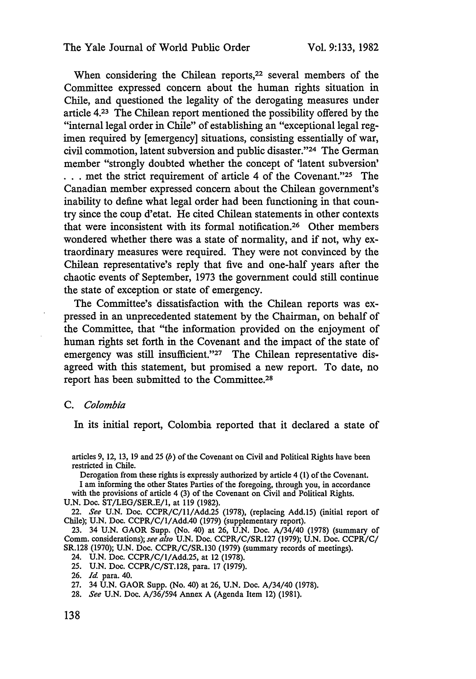When considering the Chilean reports,<sup>22</sup> several members of the Committee expressed concern about the human rights situation in Chile, and questioned the legality of the derogating measures under article 4.23 The Chilean report mentioned the possibility offered by the "internal legal order in Chile" of establishing an "exceptional legal regimen required by [emergency] situations, consisting essentially of war, civil commotion, latent subversion and public disaster."<sup>24</sup> The German member "strongly doubted whether the concept of 'latent subversion' ... met the strict requirement of article 4 of the Covenant."<sup>25</sup> The Canadian member expressed concern about the Chilean government's inability to define what legal order had been functioning in that country since the coup d'etat. He cited Chilean statements in other contexts that were inconsistent with its formal notification.26 Other members wondered whether there was a state of normality, and if not, why extraordinary measures were required. They were not convinced by the Chilean representative's reply that five and one-half years after the chaotic events of September, 1973 the government could still continue the state of exception or state of emergency.

The Committee's dissatisfaction with the Chilean reports was expressed in an unprecedented statement by the Chairman, on behalf of the Committee, that "the information provided on the enjoyment of human rights set forth in the Covenant and the impact of the state of emergency was still insufficient."<sup>27</sup> The Chilean representative disagreed with this statement, but promised a new report. To date, no report has been submitted to the Committee.<sup>28</sup>

#### *C. Colombia*

In its initial report, Colombia reported that it declared a state of

articles 9, 12, 13, 19 and 25 *(b)* of the Covenant on Civil and Political Rights have been restricted in Chile.

Derogation from these rights is expressly authorized by article 4 (1) of the Covenant. I am informing the other States Parties of the foregoing, through you, in accordance with the provisions of article 4 (3) of the Covenant on Civil and Political Rights.

U.N. Doc. ST/LEG/SER.E/1, at 119 (1982).

22. *See* U.N. Doc. CCPR/C/ll/Add.25 (1978), (replacing Add.15) (initial report of Chile); U.N. Doe. CCPR/C/l/Add.40 (1979) (supplementary report).

23. 34 U.N. GAOR Supp. (No. 40) at 26, U.N. Doc. A/34/40 (1978) (summary of Comm. considerations); *see also* U.N. Doe. CCPR/C/SR.127 (1979); U.N. Doc. CCPR/C/ SR.128 (1970); U.N. Doe. CCPR/C/SR.130 (1979) (summary records of meetings).

24. U.N. Doe. CCPR/C/1/Add.25, at 12 (1978).

25. U.N. Doe. CCPR/C/ST.128, para. 17 (1979).

26. *Id* para. 40.

27. 34 U.N. GAOR Supp. (No. 40) at 26, U.N. Doc. A/34/40 (1978).

28. *See* U.N. Doe. A/36/594 Annex A (Agenda Item 12) (1981).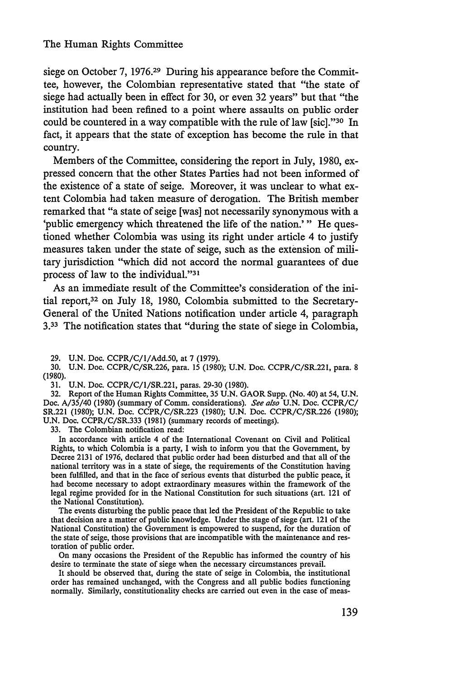siege on October 7, 1976.29 During his appearance before the Committee, however, the Colombian representative stated that "the state of siege had actually been in effect for 30, or even 32 years" but that "the institution had been refined to a point where assaults on public order could be countered in a way compatible with the rule of law [sic]."<sup>30</sup> In fact, it appears that the state of exception has become the rule in that country.

Members of the Committee, considering the report in July, 1980, expressed concern that the other States Parties had not been informed of the existence of a state of seige. Moreover, it was unclear to what extent Colombia had taken measure of derogation. The British member remarked that "a state of seige [was] not necessarily synonymous with a 'public emergency which threatened the life of the nation.'" He questioned whether Colombia was using its right under article 4 to justify measures taken under the state of seige, such as the extension of military jurisdiction "which did not accord the normal guarantees of due process of law to the individual."<sup>31</sup>

As an immediate result of the Committee's consideration of the initial report,32 on July 18, 1980, Colombia submitted to the Secretary-General of the United Nations notification under article 4, paragraph **3.33** The notification states that "during the state of siege in Colombia,

31. U.N. Doc. CCPR/C/l/SR.221, paras. 29-30 (1980).

32. Report of the Human Rights Committee, 35 U.N. GAOR Supp. (No. 40) at 54, U.N. Doc. A/35/40 (1980) (summary of Comm. considerations). *See also* U.N. Doc. CCPR/C/ SR.221 (1980); U.N. Doc. CCPR/C/SR.223 (1980); U.N. Doc. CCPR/C/SR.226 (1980); U.N. Doc. CCPR/C/SR.333 (1981) (summary records of meetings).

33. The Colombian notification read:

In accordance with article 4 of the International Covenant on Civil and Political Rights, to which Colombia is a party, I wish to inform you that the Government, by Decree 2131 of 1976, declared that public order had been disturbed and that all of the national territory was in a state of siege, the requirements of the Constitution having been fulfilled, and that in the face of serious events that disturbed the public peace, it had become necessary to adopt extraordinary measures within the framework of the legal regime provided for in the National Constitution for such situations (art. 121 of the National Constitution).

The events disturbing the public peace that led the President of the Republic to take that decision are a matter of public knowledge. Under the stage of siege (art. 121 of the National Constitution) the Government is empowered to suspend, for the duration of the state of seige, those provisions that are incompatible with the maintenance and restoration of public order.

On many occasions the President of the Republic has informed the country of his desire to terminate the state of siege when the necessary circumstances prevail.

It should be observed that, during the state of seige in Colombia, the institutional order has remained unchanged, with the Congress and all public bodies functioning normally. Similarly, constitutionality checks are carried out even in the case of meas-

<sup>29.</sup> U.N. Doc. CCPR/C/I/Add.50, at 7 (1979).

<sup>30.</sup> U.N. Doc. CCPR/C/SR.226, para. 15 (1980); U.N. Doc. CCPR/C/SR.221, para. 8 (1980).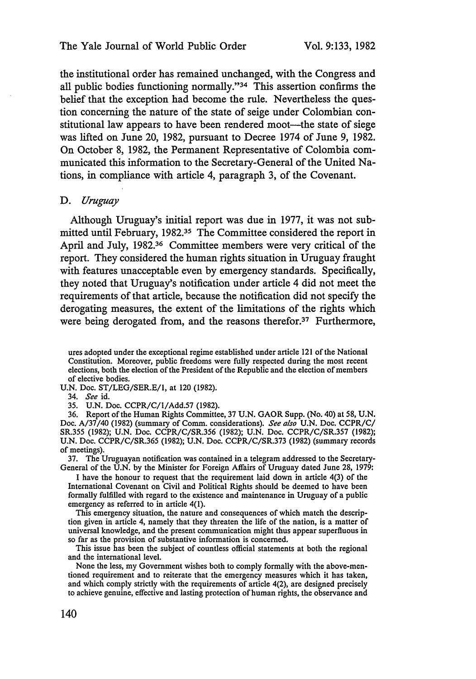the institutional order has remained unchanged, with the Congress and all public bodies functioning normally. '34 This assertion confirms the belief that the exception had become the rule. Nevertheless the question concerning the nature of the state of seige under Colombian constitutional law appears to have been rendered moot—the state of siege was lifted on June 20, 1982, pursuant to Decree 1974 of June 9, 1982. On October 8, 1982, the Permanent Representative of Colombia communicated this information to the Secretary-General of the United Nations, in compliance with article 4, paragraph 3, of the Covenant.

#### *D. Uruguay*

Although Uruguay's initial report was due in 1977, it was not submitted until February, **1982.<sup>35</sup>**The Committee considered the report in April and July, 1982.36 Committee members were very critical of the report. They considered the human rights situation in Uruguay fraught with features unacceptable even by emergency standards. Specifically, they noted that Uruguay's notification under article 4 did not meet the requirements of that article, because the notification did not specify the derogating measures, the extent of the limitations of the rights which were being derogated from, and the reasons therefor.<sup>37</sup> Furthermore,

ures adopted under the exceptional regime established under article 121 of the National Constitution. Moreover, public freedoms were fully respected during the most recent elections, both the election of the President of the Republic and the election of members of elective bodies.

U.N. Doc. ST/LEG/SER.E/l, at 120 (1982).

34. *See* id.

35. U.N. Doc. CCPR/C/l/Add.57 (1982).

36. Report of the Human Rights Committee, 37 U.N. GAOR Supp. (No. 40) at 58, U.N. Doc. A/37/40 (1982) (summary of Comm. considerations). *See also* U.N. Doe. CCPR/C/ SR.355 (1982); U.N. Doc. CCPR/C/SR.356 (1982); U.N. Doc. CCPR/C/SR.357 (1982); U.N. Doc. CCPR/C/SR.365 (1982); U.N. Doc. CCPR/C/SR.373 (1982) (summary records of meetings).

37. The Uruguayan notification was contained in a telegram addressed to the Secretary-General of the U.N. by the Minister for Foreign Affairs of Uruguay dated June 28, 1979:

I have the honour to request that the requirement laid down in article 4(3) of the International Covenant on Civil and Political Rights should be deemed to have been formally fulfilled with regard to the existence and maintenance in Uruguay of a public emergency as referred to in article 4(1).

This emergency situation, the nature and consequences of which match the description given in article 4, namely that they threaten the life of the nation, is a matter of universal knowledge, and the present communication might thus appear superfluous in so far as the provision of substantive information is concerned.

This issue has been the subject of countless official statements at both the regional and the international level.

None the less, my Government wishes both to comply formally with the above-mentioned requirement and to reiterate that the emergency measures which it has taken, and which comply strictly with the requirements of article 4(2), are designed precisely to achieve genuine, effective and lasting protection of human rights, the observance and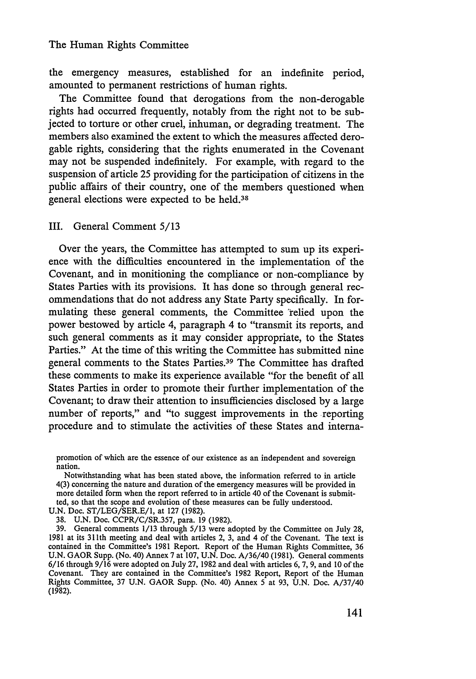the emergency measures, established for an indefinite period, amounted to permanent restrictions of human rights.

The Committee found that derogations from the non-derogable rights had occurred frequently, notably from the right not to be subjected to torture or other cruel, inhuman, or degrading treatment. The members also examined the extent to which the measures affected derogable rights, considering that the rights enumerated in the Covenant may not be suspended indefinitely. For example, with regard to the suspension of article 25 providing for the participation of citizens in the public affairs of their country, one of the members questioned when general elections were expected to be held.<sup>38</sup>

#### III. General Comment 5/13

Over the years, the Committee has attempted to sum up its experience with the difficulties encountered in the implementation of the Covenant, and in monitioning the compliance or non-compliance by States Parties with its provisions. It has done so through general recommendations that do not address any State Party specifically. In formulating these general comments, the Committee 'relied upon the power bestowed by article 4, paragraph 4 to "transmit its reports, and such general comments as it may consider appropriate, to the States Parties." At the time of this writing the Committee has submitted nine general comments to the States Parties.39 The Committee has drafted these comments to make its experience available "for the benefit of all States Parties in order to promote their further implementation of the Covenant; to draw their attention to insufficiencies disclosed by a large number of reports," and "to suggest improvements in the reporting procedure and to stimulate the activities of these States and interna-

promotion of which are the essence of our existence as an independent and sovereign nation.

Notwithstanding what has been stated above, the information referred to in article 4(3) concerning the nature and duration of the emergency measures will be provided in more detailed form when the report referred to in article 40 of the Covenant is submitted, so that the scope and evolution of these measures can be fully understood.

U.N. Doc. ST/LEG/SER.E/1, at 127 (1982).

<sup>38.</sup> U.N. Doc. CCPR/C/SR.357, para. 19 (1982).

<sup>39.</sup> General comments 1/13 through 5/13 were adopted by the Committee on July 28, 1981 at its 311th meeting and deal with articles 2, 3, and 4 of the Covenant. The text is contained in the Committee's 1981 Report. Report of the Human Rights Committee, 36 U.N. GAOR Supp. (No. 40) Annex 7 at 107, U.N. Doc. A/36/40 (1981). General comments 6/16 through 9/16 were adopted on July 27, 1982 and deal with articles 6, 7, 9, and **10** of the Covenant. They are contained in the Committee's 1982 Report, Report of the Human Rights Committee, 37 U.N. GAOR Supp. (No. 40) Annex 5 at 93, U.N. Doc. A/37/40 (1982).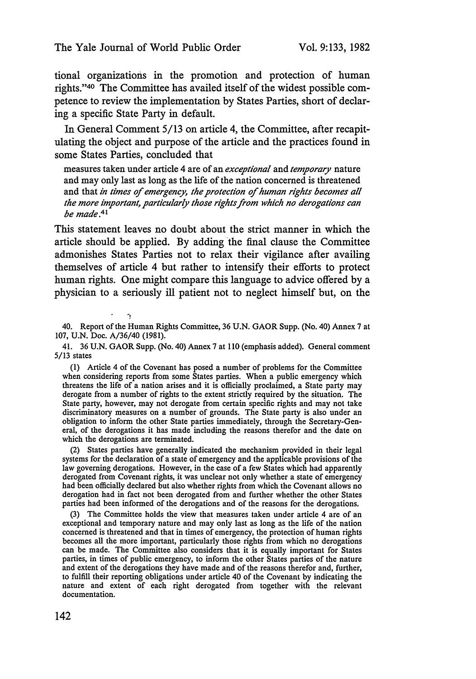tional organizations in the promotion and protection of human rights. '40 The Committee has availed itself of the widest possible competence to review the implementation by States Parties, short of declaring a specific State Party in default.

In General Comment 5/13 on article 4, the Committee, after recapitulating the object and purpose of the article and the practices found in some States Parties, concluded that

measures taken under article 4 are of an *exceptional* and *temporary* nature and may only last as long as the life of the nation concerned is threatened and that *in times of emergency, the protection of human rights becomes all the more important, particularly those rights from which* no derogations can *be made.<sup>4</sup> <sup>1</sup>*

This statement leaves no doubt about the strict manner in which the article should be applied. By adding the final clause the Committee admonishes States Parties not to relax their vigilance after availing themselves of article 4 but rather to intensify their efforts to protect human rights. One might compare this language to advice offered by a physician to a seriously ill patient not to neglect himself but, on the

40. Report of the Human Rights Committee, 36 U.N. GAOR Supp. (No. 40) Annex 7 at 107, U.N. Doc. A/36/40 (1981).

41. 36 U.N. GAOR Supp. (No. 40) Annex 7 at **110** (emphasis added). General comment 5/13 states

(1) Article 4 of the Covenant has posed a number of problems for the Committee when considering reports from some States parties. When a public emergency which threatens the life of a nation arises and it is officially proclaimed, a State party may derogate from a number of rights to the extent strictly required by the situation. The State party, however, may not derogate from certain specific rights and may not take discriminatory measures on a number of grounds. The State party is also under an obligation to inform the other State parties immediately, through the Secretary-General, of the derogations it has made including the reasons therefor and the date on which the derogations are terminated.

(2) States parties have generally indicated the mechanism provided in their legal systems for the declaration of a state of emergency and the applicable provisions of the law governing derogations. However, in the case of a few States which had apparently derogated from Covenant rights, it was unclear not only whether a state of emergency had been officially declared but also whether rights from which the Covenant allows no derogation had in fact not been derogated from and further whether the other States parties had been informed of the derogations and of the reasons for the derogations.

(3) The Committee holds the view that measures taken under article 4 are of an exceptional and temporary nature and may only last as long as the life of the nation concerned is threatened and that in times of emergency, the protection of human rights becomes all the more important, particularly those rights from which no derogations can be made. The Committee also considers that it is equally important for States parties, in times of public emergency, to inform the other States parties of the nature and extent of the derogations they have made and of the reasons therefor and, further, to fulfill their reporting obligations under article 40 of the Covenant by indicating the nature and extent of each right derogated from together with the relevant documentation.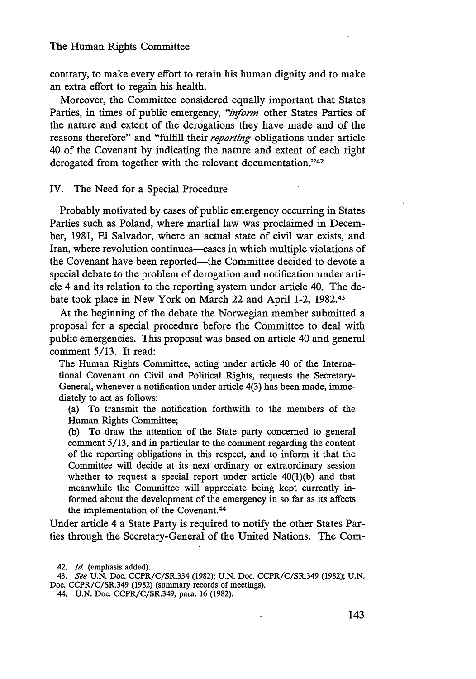contrary, to make every effort to retain his human dignity and to make an extra effort to regain his health.

Moreover, the Committee considered equally important that States Parties, in times of public emergency, *"inform* other States Parties of the nature and extent of the derogations they have made and of the reasons therefore" and "fulfill their *reporting* obligations under article 40 of the Covenant by indicating the nature and extent of each right derogated from together with the relevant documentation."<sup>42</sup>

IV. The Need for a Special Procedure

Probably motivated by cases of public emergency occurring in States Parties such as Poland, where martial law was proclaimed in December, 1981, **El** Salvador, where an actual state of civil war exists, and Iran, where revolution continues-cases in which multiple violations of the Covenant have been reported-the Committee decided to devote a special debate to the problem of derogation and notification under article 4 and its relation to the reporting system under article 40. The debate took place in New York on March 22 and April 1-2, 1982.43

At the beginning of the debate the Norwegian member submitted a proposal for a special procedure before the Committee to deal with public emergencies. This proposal was based on article 40 and general comment 5/13. It read:

The Human Rights Committee, acting under article 40 of the International Covenant on Civil and Political Rights, requests the Secretary-General, whenever a notification under article 4(3) has been made, immediately to act as follows:

(a) To transmit the notification forthwith to the members of the Human Rights Committee;

(b) To draw the attention of the State party concerned to general comment 5/13, and in particular to the comment regarding the content of the reporting obligations in this respect, and to inform it that the Committee will decide at its next ordinary or extraordinary session whether to request a special report under article  $40(1)(b)$  and that meanwhile the Committee will appreciate being kept currently informed about the development of the emergency in so far as its affects the implementation of the Covenant.<sup>44</sup>

Under article 4 a State Party is required to notify the other States Parties through the Secretary-General of the United Nations. The Com-

<sup>42.</sup> *Id* (emphasis added).

<sup>43.</sup> See U.N. Doc. CCPR/C/SR.334 (1982); U.N. Doc. CCPR/C/SR.349 (1982); U.N. Doc. CCPR/C/SR.349 (1982) (summary records of meetings).

<sup>44.</sup> U.N. Doc. CCPR/C/SR.349, para. 16 (1982).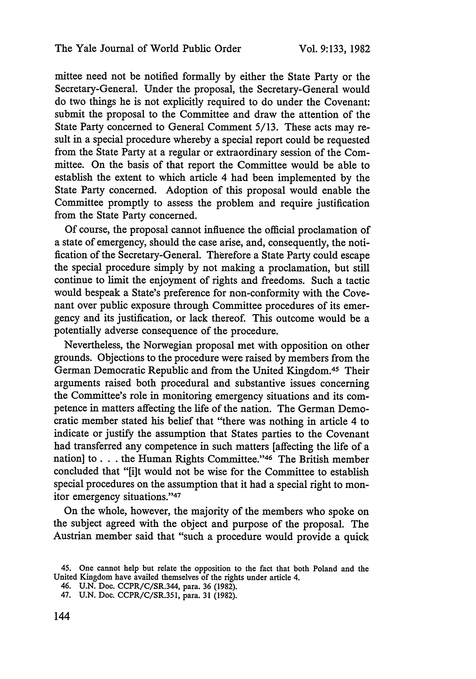mittee need not be notified formally **by** either the State Party or the Secretary-General. Under the proposal, the Secretary-General would do two things he is not explicitly required to do under the Covenant: submit the proposal to the Committee and draw the attention of the State Party concerned to General Comment 5/13. These acts may result in a special procedure whereby a special report could be requested from the State Party at a regular or extraordinary session of the Committee. On the basis of that report the Committee would be able to establish the extent to which article 4 had been implemented by the State Party concerned. Adoption of this proposal would enable the Committee promptly to assess the problem and require justification from the State Party concerned.

Of course, the proposal cannot influence the official proclamation of a state of emergency, should the case arise, and, consequently, the notification of the Secretary-General. Therefore a State Party could escape the special procedure simply by not making a proclamation, but still continue to limit the enjoyment of rights and freedoms. Such a tactic would bespeak a State's preference for non-conformity with the Covenant over public exposure through Committee procedures of its emergency and its justification, or lack thereof. This outcome would be a potentially adverse consequence of the procedure.

Nevertheless, the Norwegian proposal met with opposition on other grounds. Objections to the procedure were raised by members from the German Democratic Republic and from the United Kingdom.45 Their arguments raised both procedural and substantive issues concerning the Committee's role in monitoring emergency situations and its competence in matters affecting the life of the nation. The German Democratic member stated his belief that "there was nothing in article 4 to indicate or justify the assumption that States parties to the Covenant had transferred any competence in such matters [affecting the life of a nation] **to. .** .the Human Rights Committee." 46 The British member concluded that "[i]t would not be wise for the Committee to establish special procedures on the assumption that it had a special right to monitor emergency situations."47

On the whole, however, the majority of the members who spoke on the subject agreed with the object and purpose of the proposal. The Austrian member said that "such a procedure would provide a quick

<sup>45.</sup> One cannot help but relate the opposition to the fact that both Poland and the United Kingdom have availed themselves of the rights under article 4.

<sup>46.</sup> U.N. Doc. CCPR/C/SR.344, para. 36 (1982).

<sup>47.</sup> U.N. Doc. CCPR/C/SR.351, para. 31 (1982).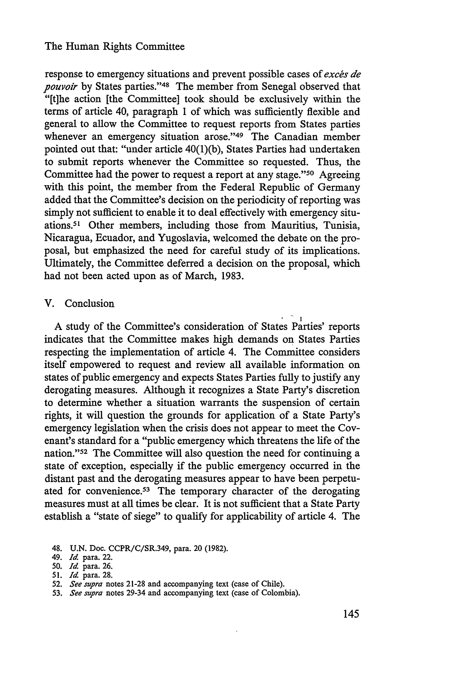response to emergency situations and prevent possible cases of *exces de pouvoir* by States parties."<sup>48</sup> The member from Senegal observed that "[t]he action [the Committee] took should be exclusively within the terms of article 40, paragraph 1 of which was sufficiently flexible and general to allow the Committee to request reports from States parties whenever an emergency situation arose."<sup>49</sup> The Canadian member pointed out that: "under article 40(l)(b), States Parties had undertaken to submit reports whenever the Committee so requested. Thus, the Committee had the power to request a report at any stage."<sup>50</sup> Agreeing with this point, the member from the Federal Republic of Germany added that the Committee's decision on the periodicity of reporting was simply not sufficient to enable it to deal effectively with emergency situations.5' Other members, including those from Mauritius, Tunisia, Nicaragua, Ecuador, and Yugoslavia, welcomed the debate on the proposal, but emphasized the need for careful study of its implications. Ultimately, the Committee deferred a decision on the proposal, which had not been acted upon as of March, 1983.

#### V. Conclusion

A study of the Committee's consideration of States Parties' reports indicates that the Committee makes high demands on States Parties respecting the implementation of article 4. The Committee considers itself empowered to request and review all available information on states of public emergency and expects States Parties fully to justify any derogating measures. Although it recognizes a State Party's discretion to determine whether a situation warrants the suspension of certain rights, it will question the grounds for application of a State Party's emergency legislation when the crisis does not appear to meet the Covenant's standard for a "public emergency which threatens the life of the nation."<sup>52</sup> The Committee will also question the need for continuing a state of exception, especially if the public emergency occurred in the distant past and the derogating measures appear to have been perpetuated for convenience.<sup>53</sup> The temporary character of the derogating measures must at all times be clear. It is not sufficient that a State Party establish a "state of siege" to qualify for applicability of article 4. The

- 51. *Id* para. 28.
- 52. *See supra* notes 21-28 and accompanying text (case of Chile).

<sup>48.</sup> U.N. Doc. CCPR/C/SR.349, para. 20 (1982).

<sup>49.</sup> *Id.* para. 22.

<sup>50.</sup> *Id.* para. 26.

<sup>53.</sup> *See supra* notes 29-34 and accompanying text (case of Colombia).